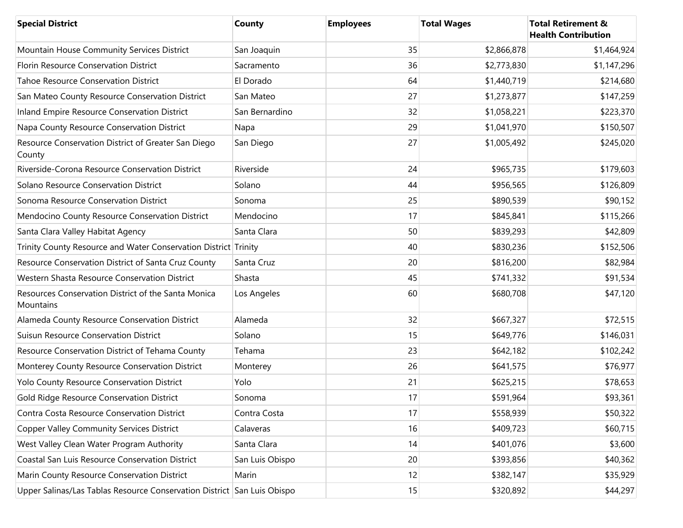| <b>Special District</b>                                                 | County          | <b>Employees</b> | <b>Total Wages</b> | <b>Total Retirement &amp;</b><br><b>Health Contribution</b> |
|-------------------------------------------------------------------------|-----------------|------------------|--------------------|-------------------------------------------------------------|
| Mountain House Community Services District                              | San Joaquin     | 35               | \$2,866,878        | \$1,464,924                                                 |
| Florin Resource Conservation District                                   | Sacramento      | 36               | \$2,773,830        | \$1,147,296                                                 |
| <b>Tahoe Resource Conservation District</b>                             | El Dorado       | 64               | \$1,440,719        | \$214,680                                                   |
| San Mateo County Resource Conservation District                         | San Mateo       | 27               | \$1,273,877        | \$147,259                                                   |
| Inland Empire Resource Conservation District                            | San Bernardino  | 32               | \$1,058,221        | \$223,370                                                   |
| Napa County Resource Conservation District                              | Napa            | 29               | \$1,041,970        | \$150,507                                                   |
| Resource Conservation District of Greater San Diego<br>County           | San Diego       | 27               | \$1,005,492        | \$245,020                                                   |
| Riverside-Corona Resource Conservation District                         | Riverside       | 24               | \$965,735          | \$179,603                                                   |
| Solano Resource Conservation District                                   | Solano          | 44               | \$956,565          | \$126,809                                                   |
| Sonoma Resource Conservation District                                   | Sonoma          | 25               | \$890,539          | \$90,152                                                    |
| Mendocino County Resource Conservation District                         | Mendocino       | 17               | \$845,841          | \$115,266                                                   |
| Santa Clara Valley Habitat Agency                                       | Santa Clara     | 50               | \$839,293          | \$42,809                                                    |
| Trinity County Resource and Water Conservation District Trinity         |                 | 40               | \$830,236          | \$152,506                                                   |
| Resource Conservation District of Santa Cruz County                     | Santa Cruz      | 20               | \$816,200          | \$82,984                                                    |
| Western Shasta Resource Conservation District                           | Shasta          | 45               | \$741,332          | \$91,534                                                    |
| Resources Conservation District of the Santa Monica<br>Mountains        | Los Angeles     | 60               | \$680,708          | \$47,120                                                    |
| Alameda County Resource Conservation District                           | Alameda         | 32               | \$667,327          | \$72,515                                                    |
| <b>Suisun Resource Conservation District</b>                            | Solano          | 15               | \$649,776          | \$146,031                                                   |
| Resource Conservation District of Tehama County                         | Tehama          | 23               | \$642,182          | \$102,242                                                   |
| Monterey County Resource Conservation District                          | Monterey        | 26               | \$641,575          | \$76,977                                                    |
| Yolo County Resource Conservation District                              | Yolo            | 21               | \$625,215          | \$78,653                                                    |
| Gold Ridge Resource Conservation District                               | Sonoma          | 17               | \$591,964          | \$93,361                                                    |
| Contra Costa Resource Conservation District                             | Contra Costa    | 17               | \$558,939          | \$50,322                                                    |
| <b>Copper Valley Community Services District</b>                        | Calaveras       | 16               | \$409,723          | \$60,715                                                    |
| West Valley Clean Water Program Authority                               | Santa Clara     | 14               | \$401,076          | \$3,600                                                     |
| Coastal San Luis Resource Conservation District                         | San Luis Obispo | 20               | \$393,856          | \$40,362                                                    |
| Marin County Resource Conservation District                             | Marin           | 12               | \$382,147          | \$35,929                                                    |
| Upper Salinas/Las Tablas Resource Conservation District San Luis Obispo |                 | 15               | \$320,892          | \$44,297                                                    |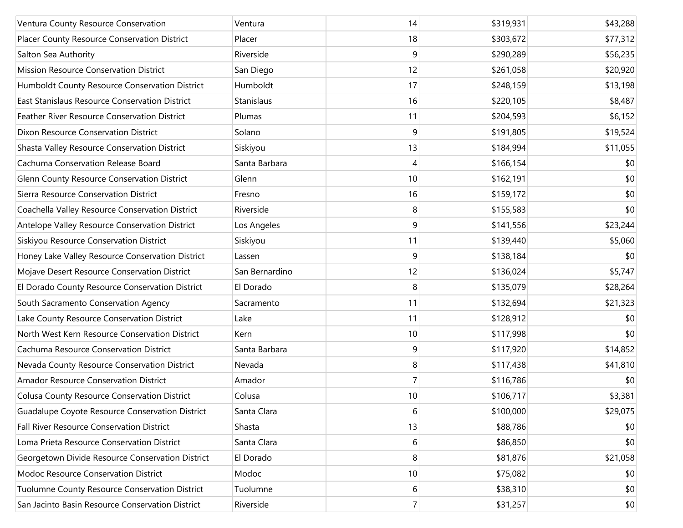| Ventura County Resource Conservation             | Ventura        | 14             | \$319,931 | \$43,288 |
|--------------------------------------------------|----------------|----------------|-----------|----------|
| Placer County Resource Conservation District     | Placer         | 18             | \$303,672 | \$77,312 |
| Salton Sea Authority                             | Riverside      | 9              | \$290,289 | \$56,235 |
| Mission Resource Conservation District           | San Diego      | 12             | \$261,058 | \$20,920 |
| Humboldt County Resource Conservation District   | Humboldt       | 17             | \$248,159 | \$13,198 |
| East Stanislaus Resource Conservation District   | Stanislaus     | 16             | \$220,105 | \$8,487  |
| Feather River Resource Conservation District     | Plumas         | 11             | \$204,593 | \$6,152  |
| Dixon Resource Conservation District             | Solano         | 9              | \$191,805 | \$19,524 |
| Shasta Valley Resource Conservation District     | Siskiyou       | 13             | \$184,994 | \$11,055 |
| Cachuma Conservation Release Board               | Santa Barbara  | 4              | \$166,154 | \$0      |
| Glenn County Resource Conservation District      | Glenn          | 10             | \$162,191 | \$0      |
| Sierra Resource Conservation District            | Fresno         | 16             | \$159,172 | \$0      |
| Coachella Valley Resource Conservation District  | Riverside      | 8              | \$155,583 | \$0      |
| Antelope Valley Resource Conservation District   | Los Angeles    | 9              | \$141,556 | \$23,244 |
| Siskiyou Resource Conservation District          | Siskiyou       | 11             | \$139,440 | \$5,060  |
| Honey Lake Valley Resource Conservation District | Lassen         | 9              | \$138,184 | \$0      |
| Mojave Desert Resource Conservation District     | San Bernardino | 12             | \$136,024 | \$5,747  |
| El Dorado County Resource Conservation District  | El Dorado      | 8              | \$135,079 | \$28,264 |
| South Sacramento Conservation Agency             | Sacramento     | 11             | \$132,694 | \$21,323 |
| Lake County Resource Conservation District       | Lake           | 11             | \$128,912 | \$0      |
| North West Kern Resource Conservation District   | Kern           | 10             | \$117,998 | \$0      |
| Cachuma Resource Conservation District           | Santa Barbara  | 9              | \$117,920 | \$14,852 |
| Nevada County Resource Conservation District     | Nevada         | 8              | \$117,438 | \$41,810 |
| Amador Resource Conservation District            | Amador         | $\overline{7}$ | \$116,786 | \$0      |
| Colusa County Resource Conservation District     | Colusa         | 10             | \$106,717 | \$3,381  |
| Guadalupe Coyote Resource Conservation District  | Santa Clara    | 6              | \$100,000 | \$29,075 |
| Fall River Resource Conservation District        | Shasta         | 13             | \$88,786  | \$0      |
| Loma Prieta Resource Conservation District       | Santa Clara    | 6              | \$86,850  | \$0      |
| Georgetown Divide Resource Conservation District | El Dorado      | 8              | \$81,876  | \$21,058 |
| Modoc Resource Conservation District             | Modoc          | 10             | \$75,082  | \$0      |
| Tuolumne County Resource Conservation District   | Tuolumne       | 6              | \$38,310  | \$0      |
| San Jacinto Basin Resource Conservation District | Riverside      | $\overline{7}$ | \$31,257  | \$0      |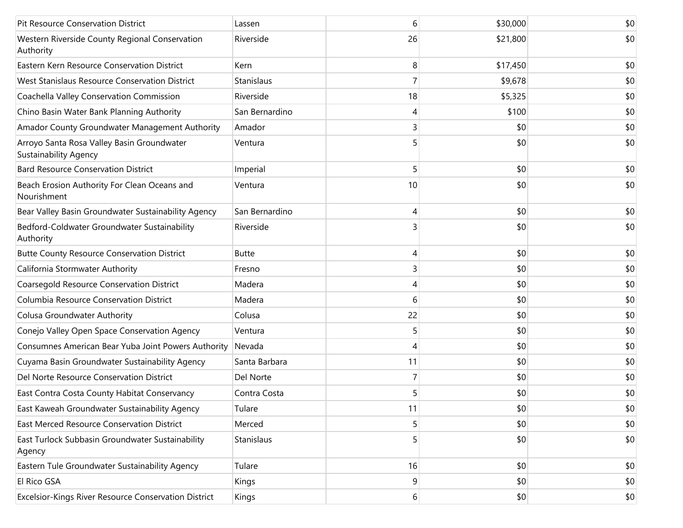| Pit Resource Conservation District                                         | Lassen         | 6  | \$30,000 | \$0 |
|----------------------------------------------------------------------------|----------------|----|----------|-----|
| Western Riverside County Regional Conservation<br>Authority                | Riverside      | 26 | \$21,800 | \$0 |
| Eastern Kern Resource Conservation District                                | Kern           | 8  | \$17,450 | \$0 |
| West Stanislaus Resource Conservation District                             | Stanislaus     | 7  | \$9,678  | \$0 |
| Coachella Valley Conservation Commission                                   | Riverside      | 18 | \$5,325  | \$0 |
| Chino Basin Water Bank Planning Authority                                  | San Bernardino | 4  | \$100    | \$0 |
| Amador County Groundwater Management Authority                             | Amador         | 3  | \$0      | \$0 |
| Arroyo Santa Rosa Valley Basin Groundwater<br><b>Sustainability Agency</b> | Ventura        | 5  | \$0      | \$0 |
| <b>Bard Resource Conservation District</b>                                 | Imperial       | 5  | \$0      | \$0 |
| Beach Erosion Authority For Clean Oceans and<br>Nourishment                | Ventura        | 10 | \$0      | \$0 |
| Bear Valley Basin Groundwater Sustainability Agency                        | San Bernardino | 4  | \$0      | \$0 |
| Bedford-Coldwater Groundwater Sustainability<br>Authority                  | Riverside      |    | \$0      | \$0 |
| <b>Butte County Resource Conservation District</b>                         | <b>Butte</b>   | 4  | \$0      | \$0 |
| California Stormwater Authority                                            | Fresno         | 3  | \$0      | \$0 |
| Coarsegold Resource Conservation District                                  | Madera         | 4  | \$0      | \$0 |
| Columbia Resource Conservation District                                    | Madera         | 6  | \$0      | \$0 |
| Colusa Groundwater Authority                                               | Colusa         | 22 | \$0      | \$0 |
| Conejo Valley Open Space Conservation Agency                               | Ventura        | 5  | \$0      | \$0 |
| Consumnes American Bear Yuba Joint Powers Authority                        | Nevada         | 4  | \$0      | \$0 |
| Cuyama Basin Groundwater Sustainability Agency                             | Santa Barbara  | 11 | \$0      | \$0 |
| Del Norte Resource Conservation District                                   | Del Norte      | 7  | \$0      | \$0 |
| East Contra Costa County Habitat Conservancy                               | Contra Costa   | 5  | \$0      | \$0 |
| East Kaweah Groundwater Sustainability Agency                              | Tulare         | 11 | \$0      | \$0 |
| East Merced Resource Conservation District                                 | Merced         | 5  | \$0      | \$0 |
| East Turlock Subbasin Groundwater Sustainability<br>Agency                 | Stanislaus     | 5  | \$0      | \$0 |
| Eastern Tule Groundwater Sustainability Agency                             | Tulare         | 16 | \$0      | \$0 |
| El Rico GSA                                                                | Kings          | 9  | \$0      | \$0 |
| Excelsior-Kings River Resource Conservation District                       | Kings          | 6  | \$0      | \$0 |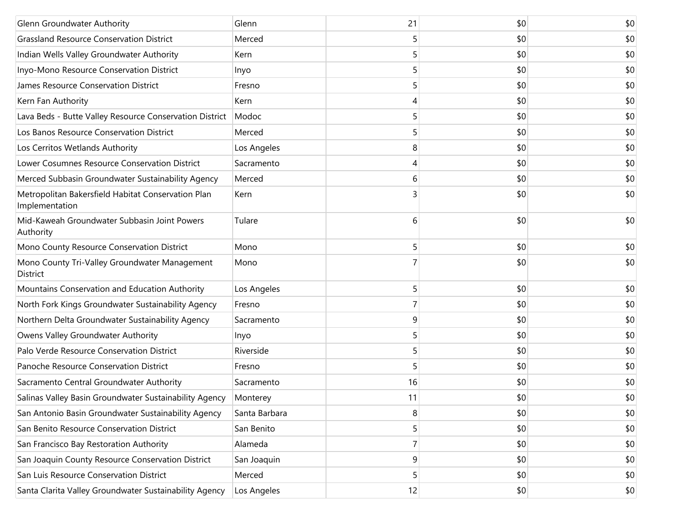| Glenn Groundwater Authority                                          | Glenn         | 21 | \$0 | \$0 |
|----------------------------------------------------------------------|---------------|----|-----|-----|
| <b>Grassland Resource Conservation District</b>                      | Merced        | 5  | \$0 | \$0 |
| Indian Wells Valley Groundwater Authority                            | Kern          | 5  | \$0 | \$0 |
| Inyo-Mono Resource Conservation District                             | Inyo          | 5  | \$0 | \$0 |
| James Resource Conservation District                                 | Fresno        | 5  | \$0 | \$0 |
| Kern Fan Authority                                                   | Kern          | 4  | \$0 | \$0 |
| Lava Beds - Butte Valley Resource Conservation District              | Modoc         | 5  | \$0 | \$0 |
| Los Banos Resource Conservation District                             | Merced        | 5  | \$0 | \$0 |
| Los Cerritos Wetlands Authority                                      | Los Angeles   | 8  | \$0 | \$0 |
| Lower Cosumnes Resource Conservation District                        | Sacramento    | 4  | \$0 | \$0 |
| Merced Subbasin Groundwater Sustainability Agency                    | Merced        | 6  | \$0 | \$0 |
| Metropolitan Bakersfield Habitat Conservation Plan<br>Implementation | Kern          | 3  | \$0 | \$0 |
| Mid-Kaweah Groundwater Subbasin Joint Powers<br>Authority            | Tulare        | 6  | \$0 | \$0 |
| Mono County Resource Conservation District                           | Mono          | 5  | \$0 | \$0 |
| Mono County Tri-Valley Groundwater Management<br>District            | Mono          |    | \$0 | \$0 |
| Mountains Conservation and Education Authority                       | Los Angeles   | 5  | \$0 | \$0 |
| North Fork Kings Groundwater Sustainability Agency                   | Fresno        | 7  | \$0 | \$0 |
| Northern Delta Groundwater Sustainability Agency                     | Sacramento    | 9  | \$0 | \$0 |
| Owens Valley Groundwater Authority                                   | Inyo          | 5  | \$0 | \$0 |
| Palo Verde Resource Conservation District                            | Riverside     | 5  | \$0 | \$0 |
| Panoche Resource Conservation District                               | Fresno        | 5  | \$0 | \$0 |
| Sacramento Central Groundwater Authority                             | Sacramento    | 16 | \$0 | \$0 |
| Salinas Valley Basin Groundwater Sustainability Agency               | Monterey      | 11 | \$0 | \$0 |
| San Antonio Basin Groundwater Sustainability Agency                  | Santa Barbara | 8  | \$0 | \$0 |
| San Benito Resource Conservation District                            | San Benito    | 5  | \$0 | \$0 |
| San Francisco Bay Restoration Authority                              | Alameda       | 7  | \$0 | \$0 |
| San Joaquin County Resource Conservation District                    | San Joaquin   | 9  | \$0 | \$0 |
| San Luis Resource Conservation District                              | Merced        | 5  | \$0 | \$0 |
| Santa Clarita Valley Groundwater Sustainability Agency               | Los Angeles   | 12 | \$0 | \$0 |